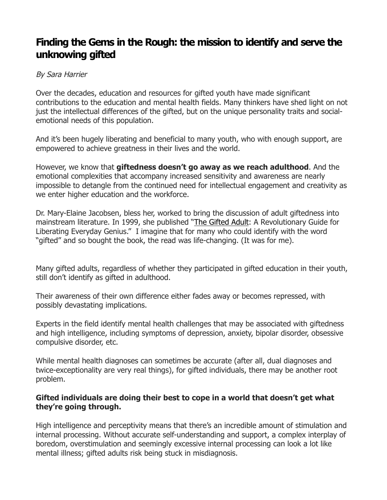# **Finding the Gems in the Rough: the mission to identify and serve the unknowing gifted**

## By Sara Harrier

Over the decades, education and resources for gifted youth have made significant contributions to the education and mental health fields. Many thinkers have shed light on not just the intellectual differences of the gifted, but on the unique personality traits and socialemotional needs of this population.

And it's been hugely liberating and beneficial to many youth, who with enough support, are empowered to achieve greatness in their lives and the world.

However, we know that **giftedness doesn't go away as we reach adulthood**. And the emotional complexities that accompany increased sensitivity and awareness are nearly impossible to detangle from the continued need for intellectual engagement and creativity as we enter higher education and the workforce.

Dr. Mary-Elaine Jacobsen, bless her, worked to bring the discussion of adult giftedness into mainstream literature. In 1999, she published "The Gifted Adult: A Revolutionary Guide for Liberating Everyday Genius." I imagine that for many who could identify with the word "gifted" and so bought the book, the read was life-changing. (It was for me).

Many gifted adults, regardless of whether they participated in gifted education in their youth, still don't identify as gifted in adulthood.

Their awareness of their own difference either fades away or becomes repressed, with possibly devastating implications.

Experts in the field identify mental health challenges that may be associated with giftedness and high intelligence, including symptoms of depression, anxiety, bipolar disorder, obsessive compulsive disorder, etc.

While mental health diagnoses can sometimes be accurate (after all, dual diagnoses and twice-exceptionality are very real things), for gifted individuals, there may be another root problem.

### **Gifted individuals are doing their best to cope in a world that doesn't get what they're going through.**

High intelligence and perceptivity means that there's an incredible amount of stimulation and internal processing. Without accurate self-understanding and support, a complex interplay of boredom, overstimulation and seemingly excessive internal processing can look a lot like mental illness; gifted adults risk being stuck in misdiagnosis.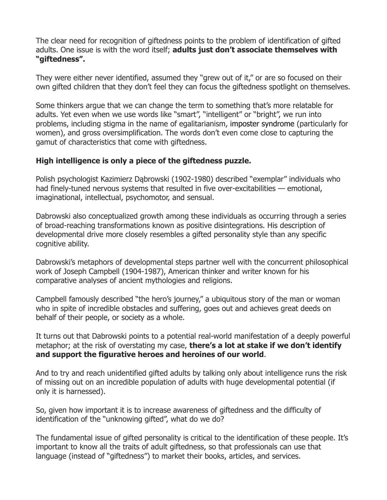The clear need for recognition of giftedness points to the problem of identification of gifted adults. One issue is with the word itself; **adults just don't associate themselves with "giftedness".**

They were either never identified, assumed they "grew out of it," or are so focused on their own gifted children that they don't feel they can focus the giftedness spotlight on themselves.

Some thinkers argue that we can change the term to something that's more relatable for adults. Yet even when we use words like "smart", "intelligent" or "bright", we run into problems, including stigma in the name of egalitarianism, imposter syndrome (particularly for women), and gross oversimplification. The words don't even come close to capturing the gamut of characteristics that come with giftedness.

# **High intelligence is only a piece of the giftedness puzzle.**

Polish psychologist Kazimierz Dąbrowski (1902-1980) described "exemplar" individuals who had finely-tuned nervous systems that resulted in five over-excitabilities — emotional, imaginational, intellectual, psychomotor, and sensual.

Dabrowski also conceptualized growth among these individuals as occurring through a series of broad-reaching transformations known as positive disintegrations. His description of developmental drive more closely resembles a gifted personality style than any specific cognitive ability.

Dabrowski's metaphors of developmental steps partner well with the concurrent philosophical work of Joseph Campbell (1904-1987), American thinker and writer known for his comparative analyses of ancient mythologies and religions.

Campbell famously described "the hero's journey," a ubiquitous story of the man or woman who in spite of incredible obstacles and suffering, goes out and achieves great deeds on behalf of their people, or society as a whole.

It turns out that Dabrowski points to a potential real-world manifestation of a deeply powerful metaphor; at the risk of overstating my case, **there's a lot at stake if we don't identify and support the figurative heroes and heroines of our world**.

And to try and reach unidentified gifted adults by talking only about intelligence runs the risk of missing out on an incredible population of adults with huge developmental potential (if only it is harnessed).

So, given how important it is to increase awareness of giftedness and the difficulty of identification of the "unknowing gifted", what do we do?

The fundamental issue of gifted personality is critical to the identification of these people. It's important to know all the traits of adult giftedness, so that professionals can use that language (instead of "giftedness") to market their books, articles, and services.